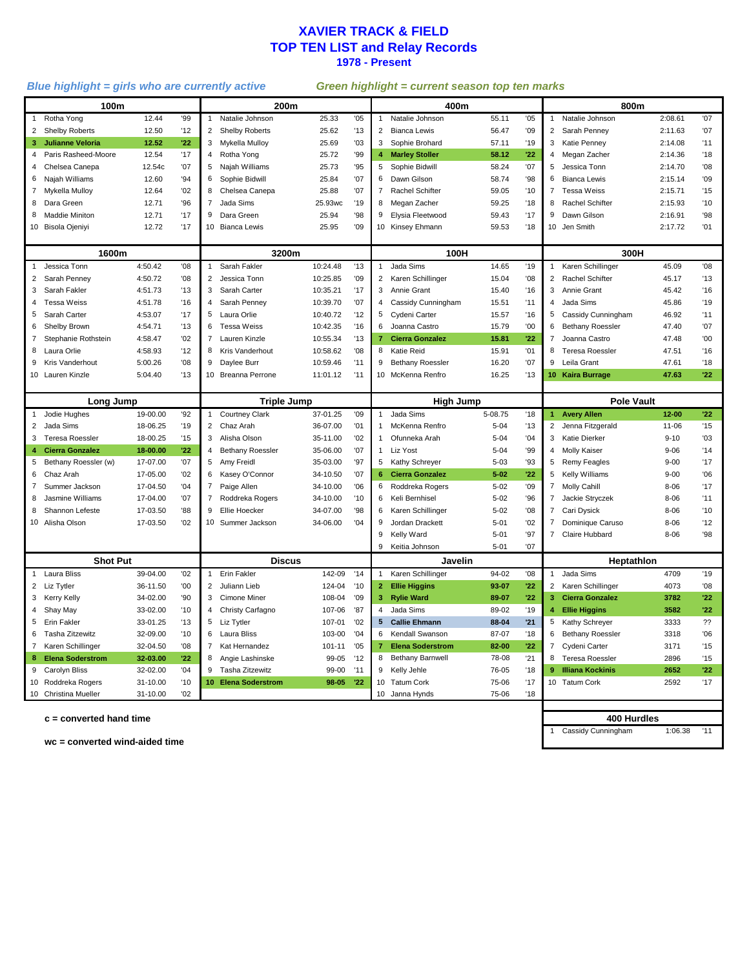#### **XAVIER TRACK & FIELD TOP TEN LIST and Relay Records 1978 - Present**

#### *Blue highlight = girls who are currently active Green highlight = current season top ten marks*

| 100m            |                           |                      |          | 200m                                                                           |                         |          |              |                                                 | 400m                    |          |                                                             |                 | 800m                    |           |     |  |
|-----------------|---------------------------|----------------------|----------|--------------------------------------------------------------------------------|-------------------------|----------|--------------|-------------------------------------------------|-------------------------|----------|-------------------------------------------------------------|-----------------|-------------------------|-----------|-----|--|
|                 | Rotha Yong                | 12.44                | '99      | $\mathbf{1}$                                                                   | Natalie Johnson         | 25.33    | '05          | $\mathbf{1}$                                    | Natalie Johnson         | 55.11    | '05                                                         | 1               | Natalie Johnson         | 2:08.61   | '07 |  |
| $\overline{2}$  | Shelby Roberts            | 12.50                | 12       | $\overline{2}$                                                                 | Shelby Roberts          | 25.62    | '13          | $\overline{2}$                                  | <b>Bianca Lewis</b>     | 56.47    | '09                                                         | $\overline{2}$  | Sarah Penney            | 2:11.63   | '07 |  |
| 3               | <b>Julianne Veloria</b>   | 12.52                | $22^{1}$ | 3                                                                              | Mykella Mulloy          | 25.69    | '03          | 3                                               | Sophie Brohard          | 57.11    | '19                                                         | 3               | Katie Penney            | 2:14.08   | 11  |  |
|                 | Paris Rasheed-Moore       | 12.54                | '17      | 4                                                                              | Rotha Yong              | 25.72    | '99          | 4 <sup>1</sup>                                  | <b>Marley Stoller</b>   | 58.12    | 122                                                         | 4               | Megan Zacher            | 2:14.36   | '18 |  |
| 4               | Chelsea Canepa            | 12.54c               | '07      | 5                                                                              | Najah Williams          | 25.73    | '95          | 5                                               | Sophie Bidwill          | 58.24    | '07                                                         | 5               | Jessica Tonn            | 2:14.70   | 08' |  |
| 6               | Najah Williams            | 12.60                | 94       | 6                                                                              | Sophie Bidwill          | 25.84    | '07          | 6                                               | Dawn Gilson             | 58.74    | 98'                                                         | 6               | <b>Bianca Lewis</b>     | 2:15.14   | '09 |  |
| $\overline{7}$  | Mykella Mulloy            | 12.64                | '02      | 8                                                                              | Chelsea Canepa          | 25.88    | '07          | $\overline{7}$                                  | Rachel Schifter         | 59.05    | '10                                                         | $\overline{7}$  | <b>Tessa Weiss</b>      | 2:15.71   | '15 |  |
| 8               | Dara Green                | 12.71                | '96      | 7                                                                              | Jada Sims               | 25.93wc  | '19          | 8                                               | Megan Zacher            | 59.25    | '18                                                         | 8               | Rachel Schifter         | 2:15.93   | '10 |  |
| 8               | <b>Maddie Miniton</b>     | 12.71                | '17      | 9                                                                              | Dara Green              | 25.94    | 98           | 9                                               | Elysia Fleetwood        | 59.43    | '17                                                         | 9               | Dawn Gilson             | 2:16.91   | '98 |  |
|                 | 10 Bisola Ojeniyi         | 12.72                | '17      | 10                                                                             | <b>Bianca Lewis</b>     | 25.95    | '09          |                                                 | 10 Kinsey Ehmann        | 59.53    | '18                                                         | 10 <sup>1</sup> | Jen Smith               | 2:17.72   | '01 |  |
|                 |                           |                      |          |                                                                                |                         |          |              |                                                 |                         |          |                                                             |                 |                         |           |     |  |
| 1600m           |                           |                      |          | 3200m                                                                          |                         |          | 100H         |                                                 |                         | 300H     |                                                             |                 |                         |           |     |  |
|                 | Jessica Tonn              | 4:50.42              | 08'      |                                                                                | Sarah Fakler            | 10:24.48 | '13          | $\mathbf{1}$                                    | Jada Sims               | 14.65    | '19                                                         | $\mathbf{1}$    | Karen Schillinger       | 45.09     | '08 |  |
| 2               | Sarah Penney              | 4:50.72              | 08'      | $\overline{2}$                                                                 | Jessica Tonn            | 10:25.85 | '09          |                                                 | Karen Schillinger       | 15.04    | '08                                                         | $\overline{2}$  | <b>Rachel Schifter</b>  | 45.17     | '13 |  |
| 3               | Sarah Fakler              | 4:51.73              | '13      | 3                                                                              | Sarah Carter            | 10:35.21 | '17          | 3                                               | Annie Grant             | 15.40    | '16                                                         | 3               | Annie Grant             | 45.42     | '16 |  |
| 4               | <b>Tessa Weiss</b>        | 4:51.78              | '16      | 4                                                                              | Sarah Penney            | 10:39.70 | '07          | 4                                               | Cassidy Cunningham      | 15.51    | '11                                                         | 4               | Jada Sims               | 45.86     | '19 |  |
| 5               | Sarah Carter              | 4:53.07              | '17      | 5                                                                              | Laura Orlie             | 10:40.72 | '12          | 5                                               | Cydeni Carter           | 15.57    | '16                                                         | 5               | Cassidy Cunningham      | 46.92     | 11  |  |
| 6               | Shelby Brown              | 4:54.71              | '13      | 6                                                                              | Tessa Weiss             | 10:42.35 | '16          | 6                                               | Joanna Castro           | 15.79    | '00                                                         | 6               | <b>Bethany Roessler</b> | 47.40     | '07 |  |
| $\overline{7}$  | Stephanie Rothstein       | 4:58.47              | '02      | $\overline{7}$                                                                 | Lauren Kinzle           | 10:55.34 | '13          | $\mathbf{7}$                                    | <b>Cierra Gonzalez</b>  | 15.81    | 122                                                         | $\overline{7}$  | Joanna Castro           | 47.48     | '00 |  |
| 8               | Laura Orlie               | 4:58.93              | 12       | 8                                                                              | Kris Vanderhout         | 10:58.62 | '08          | 8                                               | Katie Reid              | 15.91    | '01                                                         | 8               | <b>Teresa Roessler</b>  | 47.51     | '16 |  |
| 9               | Kris Vanderhout           | 5:00.26              | 08'      | 9                                                                              | Daylee Burr             | 10:59.46 | '11          | 9                                               | <b>Bethany Roessler</b> | 16.20    | '07                                                         | 9               | Leila Grant             | 47.61     | '18 |  |
|                 | 10 Lauren Kinzle          | 5:04.40              | '13      |                                                                                | 10 Breanna Perrone      | 11:01.12 | '11          |                                                 | 10 McKenna Renfro       | 16.25    | '13                                                         |                 | 10 Kaira Burrage        | 47.63     | 22  |  |
|                 |                           |                      |          |                                                                                |                         |          |              |                                                 |                         |          |                                                             |                 |                         |           |     |  |
| Long Jump       |                           |                      | 92       | <b>Triple Jump</b><br>37-01.25<br>'09<br><b>Courtney Clark</b><br>$\mathbf{1}$ |                         |          | $\mathbf{1}$ | <b>High Jump</b><br>Jada Sims<br>'18<br>5-08.75 |                         |          | <b>Pole Vault</b><br><b>Avery Allen</b><br>$12 - 00$<br>122 |                 |                         |           |     |  |
| $\overline{2}$  | Jodie Hughes<br>Jada Sims | 19-00.00<br>18-06.25 | '19      |                                                                                | 2 Chaz Arah             | 36-07.00 | '01          | 1                                               | McKenna Renfro          | $5 - 04$ | '13                                                         | 1               | 2 Jenna Fitzgerald      | $11 - 06$ | 15  |  |
|                 | 3 Teresa Roessler         | 18-00.25             | 15       | 3                                                                              | Alisha Olson            | 35-11.00 | '02          | $\mathbf{1}$                                    | Ofunneka Arah           | $5 - 04$ | '04                                                         | 3               | Katie Dierker           | $9 - 10$  | '03 |  |
| 4               | <b>Cierra Gonzalez</b>    | 18-00.00             | '22      | $\overline{4}$                                                                 | <b>Bethany Roessler</b> | 35-06.00 | '07          | $\mathbf{1}$                                    | Liz Yost                | $5 - 04$ | '99                                                         |                 | 4 Molly Kaiser          | $9 - 06$  | 14  |  |
| 5               | Bethany Roessler (w)      | 17-07.00             | '07      | 5                                                                              | Amy Freidl              | 35-03.00 | '97          | 5                                               | Kathy Schreyer          | $5 - 03$ | '93                                                         | 5               | <b>Remy Feagles</b>     | $9 - 00$  | '17 |  |
| 6               | Chaz Arah                 | 17-05.00             | '02      | 6                                                                              | Kasey O'Connor          | 34-10.50 | '07          |                                                 | <b>Cierra Gonzalez</b>  | $5 - 02$ | 122                                                         | 5               | <b>Kelly Williams</b>   | $9 - 00$  | 06' |  |
| $\overline{7}$  | Summer Jackson            | 17-04.50             | '04      | $\overline{7}$                                                                 | Paige Allen             | 34-10.00 | '06          | 6                                               | Roddreka Rogers         | $5 - 02$ | '09                                                         | $\overline{7}$  | Molly Cahill            | $8 - 06$  | '17 |  |
| 8               | Jasmine Williams          | 17-04.00             | '07      | $\overline{7}$                                                                 | Roddreka Rogers         | 34-10.00 | '10          | 6                                               | Keli Bernhisel          | $5 - 02$ | 96                                                          |                 | 7 Jackie Stryczek       | $8 - 06$  | 11  |  |
| 8               | Shannon Lefeste           | 17-03.50             | '88      | 9                                                                              | Ellie Hoecker           | 34-07.00 | '98          | 6                                               | Karen Schillinger       | $5 - 02$ | '08                                                         | 7               | Cari Dysick             | $8 - 06$  | '10 |  |
|                 | 10 Alisha Olson           | 17-03.50             | '02      |                                                                                | 10 Summer Jackson       | 34-06.00 | '04          | 9                                               | Jordan Drackett         | $5 - 01$ | '02                                                         | $\overline{7}$  | Dominique Caruso        | $8 - 06$  | 12  |  |
|                 |                           |                      |          |                                                                                |                         |          |              | 9                                               | Kelly Ward              | $5 - 01$ | '97                                                         | $\overline{7}$  | Claire Hubbard          | $8 - 06$  | 98  |  |
|                 |                           |                      |          |                                                                                |                         |          |              |                                                 | 9 Keitia Johnson        | $5 - 01$ | '07                                                         |                 |                         |           |     |  |
| <b>Shot Put</b> |                           |                      |          | <b>Discus</b>                                                                  |                         |          |              |                                                 | Javelin                 |          |                                                             | Heptathlon      |                         |           |     |  |
|                 | Laura Bliss               | 39-04.00             | '02      | $\mathbf{1}$                                                                   | Erin Fakler             | 142-09   | '14          | $\mathbf{1}$                                    | Karen Schillinger       | 94-02    | 08                                                          | $\mathbf{1}$    | Jada Sims               | 4709      | '19 |  |
| 2               | Liz Tytler                | 36-11.50             | '00      | 2                                                                              | Juliann Lieb            | 124-04   | '10          |                                                 | 2 Ellie Higgins         | 93-07    | 22                                                          | $\overline{2}$  | Karen Schillinger       | 4073      | '08 |  |
| 3               | Kerry Kelly               | 34-02.00             | '90      | 3                                                                              | <b>Cimone Miner</b>     | 108-04   | '09          | 3 <sup>1</sup>                                  | <b>Rylie Ward</b>       | 89-07    | 122                                                         | $3 -$           | <b>Cierra Gonzalez</b>  | 3782      | '22 |  |
|                 | Shay May                  | 33-02.00             | '10      | 4                                                                              | Christy Carfagno        | 107-06   | '87          | 4                                               | Jada Sims               | 89-02    | '19                                                         | 4               | <b>Ellie Higgins</b>    | 3582      | 22  |  |
| 5               | Erin Fakler               | 33-01.25             | '13      | 5                                                                              | Liz Tytler              | 107-01   | '02          | 5 <sup>1</sup>                                  | <b>Callie Ehmann</b>    | 88-04    | '21                                                         | 5               | <b>Kathy Schreyer</b>   | 3333      | ??  |  |
| 6               | Tasha Zitzewitz           | 32-09.00             | '10      | 6                                                                              | Laura Bliss             | 103-00   | '04          |                                                 | 6 Kendall Swanson       | 87-07    | '18                                                         | 6               | <b>Bethany Roessler</b> | 3318      | '06 |  |
| $\overline{7}$  | Karen Schillinger         | 32-04.50             | '08      | $\overline{7}$                                                                 | Kat Hernandez           | 101-11   | '05          | 7 <sup>1</sup>                                  | <b>Elena Soderstrom</b> | 82-00    | 122                                                         |                 | 7 Cydeni Carter         | 3171      | '15 |  |
| 8               | <b>Elena Soderstrom</b>   | 32-03.00             | 22       | 8                                                                              | Angie Lashinske         | 99-05    | '12          | 8                                               | <b>Bethany Barnwell</b> | 78-08    | '21                                                         | 8               | Teresa Roessler         | 2896      | '15 |  |
| 9               | Carolyn Bliss             | 32-02.00             | 04'      | 9                                                                              | Tasha Zitzewitz         | 99-00    | '11          | 9                                               | Kelly Jehle             | 76-05    | '18                                                         | 9               | <b>Illiana Kockinis</b> | 2652      | 22  |  |
|                 | 10 Roddreka Rogers        | 31-10.00             | '10      |                                                                                | 10 Elena Soderstrom     | 98-05    | 122          | 10                                              | <b>Tatum Cork</b>       | 75-06    | '17                                                         |                 | 10 Tatum Cork           | 2592      | '17 |  |
|                 | 10 Christina Mueller      | 31-10.00             | '02      |                                                                                |                         |          |              |                                                 | 10 Janna Hynds          | 75-06    | '18                                                         |                 |                         |           |     |  |
|                 |                           |                      |          |                                                                                |                         |          |              |                                                 |                         |          |                                                             |                 |                         |           |     |  |

 $c =$  converted hand time

 Cassidy Cunningham 1:06.38 '11 **400 Hurdles**

**wc = converted wind-aided time**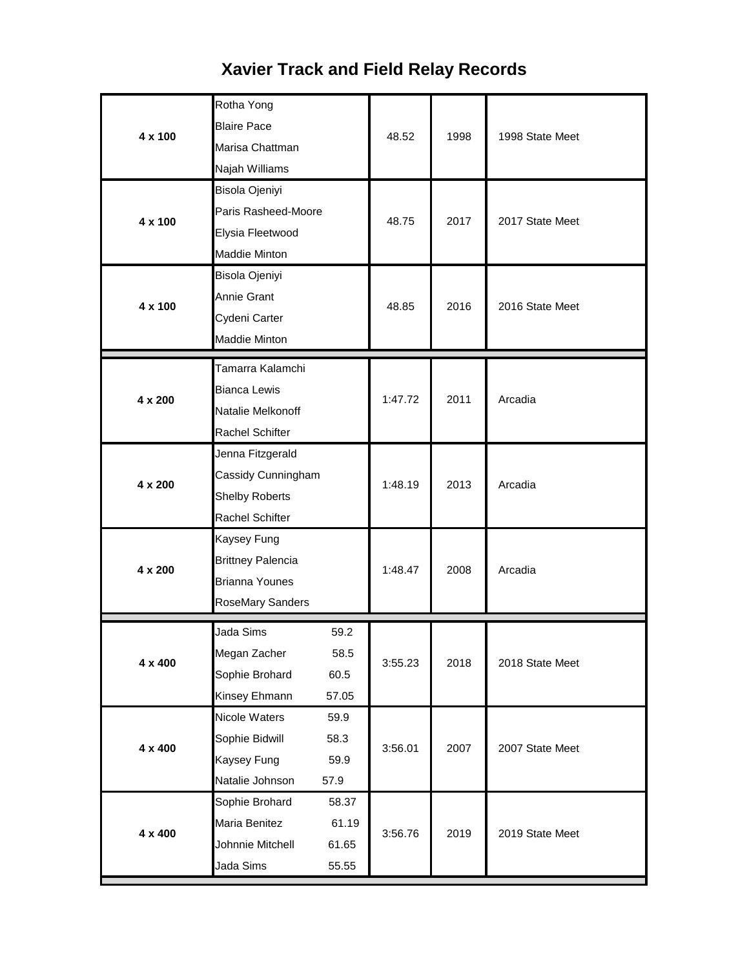### Rotha Yong Blaire Pace Marisa Chattman Najah Williams Bisola Ojeniyi Paris Rasheed-Moore Elysia Fleetwood Maddie Minton Bisola Ojeniyi Annie Grant Cydeni Carter Maddie Minton Tamarra Kalamchi Bianca Lewis Natalie Melkonoff Rachel Schifter Jenna Fitzgerald Cassidy Cunningham Shelby Roberts Rachel Schifter Kaysey Fung Brittney Palencia Brianna Younes RoseMary Sanders Jada Sims 59.2 Megan Zacher 58.5 Sophie Brohard 60.5 Kinsey Ehmann 57.05 Nicole Waters 59.9 Sophie Bidwill 58.3 Kaysey Fung 59.9 Natalie Johnson 57.9 Sophie Brohard 58.37 Maria Benitez 61.19 Johnnie Mitchell 61.65 Jada Sims 55.55 **4 x 200** 1:48.47 2008 Arcadia **4 x 100 100 100 100 100 100 100 100 100 100 100 100 100 100 100 100 100 100 100 100 100 100 100 100 100 100 100 100 100 100 100 100 100 100 100 100 1 4 x 200** 1:48.19 2013 Arcadia **4 x 200** 1:47.72 2011 Arcadia 2019 State Meet **4 x 400** 3:55.23 **4 x 400 12019 12019** 2018 2018 State Meet **4 x 400** 3:56.01 2007 2007 State Meet 48.75 **4 x 100 100 100 100 100 100 100 1000 1000 1000 1000 1000 1000 1000 1000 1000 1000 1000 1000 1000 1000 1000 1000 1000 1000 1000 1000 1000 1000 1000 1000 1000 4 x 100** 2017 2017 State Meet

## **Xavier Track and Field Relay Records**